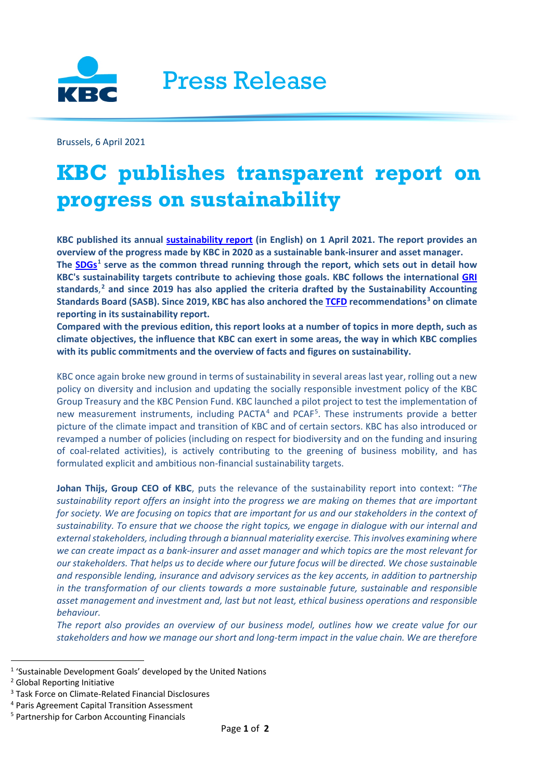

Press Release

Brussels, 6 April 2021

## **KBC publishes transparent report on progress on sustainability**

**KBC published its annual [sustainability report](https://www.kbc.com/content/dam/kbccom/doc/sustainability-responsibility/PerfRep/2020/csr-sr-2020.pdf) (in English) on 1 April 2021. The report provides an overview of the progress made by KBC in 2020 as a sustainable bank-insurer and asset manager. The [SDGs](https://www.undp.org/content/undp/en/home/sustainable-development-goals.html#:%7E:text=The%20Sustainable%20Development%20Goals%20(SDGs),%20also%20known%20as,all%20people%20enjoy%20peace%20and%20prosperity%20by%202030.)[1](#page-0-0) serve as the common thread running through the report, which sets out in detail how KBC's sustainability targets contribute to achieving those goals. KBC follows the international [GRI](https://www.globalreporting.org/standards) standards**, **[2](#page-0-1) and since 2019 has also applied the criteria drafted by the Sustainability Accounting Standards Board (SASB). Since 2019, KBC has also anchored the [TCFD](https://www.fsb-tcfd.org/recommendations/) recommendations[3](#page-0-2) on climate reporting in its sustainability report.** 

**Compared with the previous edition, this report looks at a number of topics in more depth, such as climate objectives, the influence that KBC can exert in some areas, the way in which KBC complies with its public commitments and the overview of facts and figures on sustainability.**

KBC once again broke new ground in terms of sustainability in several areas last year, rolling out a new policy on diversity and inclusion and updating the socially responsible investment policy of the KBC Group Treasury and the KBC Pension Fund. KBC launched a pilot project to test the implementation of new measurement instruments, including PACTA<sup>[4](#page-0-3)</sup> and PCAF<sup>[5](#page-0-4)</sup>. These instruments provide a better picture of the climate impact and transition of KBC and of certain sectors. KBC has also introduced or revamped a number of policies (including on respect for biodiversity and on the funding and insuring of coal-related activities), is actively contributing to the greening of business mobility, and has formulated explicit and ambitious non-financial sustainability targets.

**Johan Thijs, Group CEO of KBC**, puts the relevance of the sustainability report into context: "*The sustainability report offers an insight into the progress we are making on themes that are important for society. We are focusing on topics that are important for us and our stakeholders in the context of sustainability. To ensure that we choose the right topics, we engage in dialogue with our internal and external stakeholders, including through a biannual materiality exercise. This involves examining where we can create impact as a bank-insurer and asset manager and which topics are the most relevant for our stakeholders. That helps us to decide where our future focus will be directed. We chose sustainable and responsible lending, insurance and advisory services as the key accents, in addition to partnership in the transformation of our clients towards a more sustainable future, sustainable and responsible asset management and investment and, last but not least, ethical business operations and responsible behaviour.*

*The report also provides an overview of our business model, outlines how we create value for our stakeholders and how we manage our short and long-term impact in the value chain. We are therefore* 

<span id="page-0-0"></span><sup>1</sup> 'Sustainable Development Goals' developed by the United Nations

<span id="page-0-1"></span><sup>2</sup> Global Reporting Initiative

<span id="page-0-2"></span><sup>3</sup> Task Force on Climate-Related Financial Disclosures

<span id="page-0-3"></span><sup>4</sup> Paris Agreement Capital Transition Assessment

<span id="page-0-4"></span><sup>5</sup> Partnership for Carbon Accounting Financials